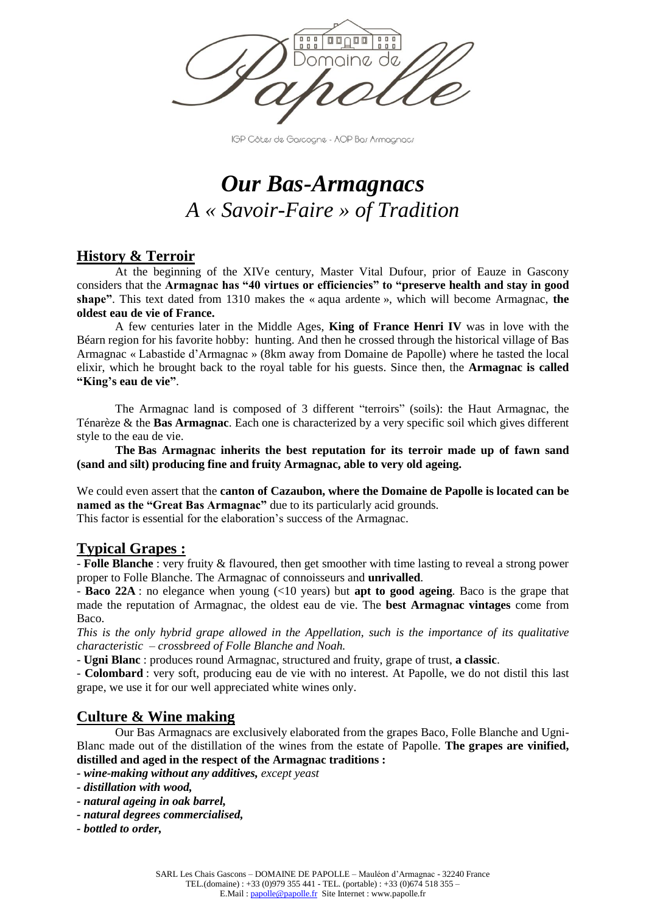

IGP Côtes de Gascogne - AOP Bas Armagnacs

# *Our Bas-Armagnacs A « Savoir-Faire » of Tradition*

# **History & Terroir**

At the beginning of the XIVe century, Master Vital Dufour, prior of Eauze in Gascony considers that the **Armagnac has "40 virtues or efficiencies" to "preserve health and stay in good shape"**. This text dated from 1310 makes the « aqua ardente », which will become Armagnac, **the oldest eau de vie of France.** 

A few centuries later in the Middle Ages, **King of France Henri IV** was in love with the Béarn region for his favorite hobby: hunting. And then he crossed through the historical village of Bas Armagnac « Labastide d'Armagnac » (8km away from Domaine de Papolle) where he tasted the local elixir, which he brought back to the royal table for his guests. Since then, the **Armagnac is called "King's eau de vie"**.

The Armagnac land is composed of 3 different "terroirs" (soils): the Haut Armagnac, the Ténarèze & the **Bas Armagnac**. Each one is characterized by a very specific soil which gives different style to the eau de vie.

**The Bas Armagnac inherits the best reputation for its terroir made up of fawn sand (sand and silt) producing fine and fruity Armagnac, able to very old ageing.** 

We could even assert that the **canton of Cazaubon, where the Domaine de Papolle is located can be named as the "Great Bas Armagnac"** due to its particularly acid grounds. This factor is essential for the elaboration's success of the Armagnac.

# **Typical Grapes :**

- **Folle Blanche** : very fruity & flavoured, then get smoother with time lasting to reveal a strong power proper to Folle Blanche. The Armagnac of connoisseurs and **unrivalled**.

- **Baco 22A** : no elegance when young (<10 years) but **apt to good ageing**. Baco is the grape that made the reputation of Armagnac, the oldest eau de vie. The **best Armagnac vintages** come from Baco.

*This is the only hybrid grape allowed in the Appellation, such is the importance of its qualitative characteristic – crossbreed of Folle Blanche and Noah.* 

- **Ugni Blanc** : produces round Armagnac, structured and fruity, grape of trust, **a classic**.

- **Colombard** : very soft, producing eau de vie with no interest. At Papolle, we do not distil this last grape, we use it for our well appreciated white wines only.

# **Culture & Wine making**

Our Bas Armagnacs are exclusively elaborated from the grapes Baco, Folle Blanche and Ugni-Blanc made out of the distillation of the wines from the estate of Papolle. **The grapes are vinified, distilled and aged in the respect of the Armagnac traditions :**

*- wine-making without any additives, except yeast*

- *- natural ageing in oak barrel,*
- *- natural degrees commercialised,*
- *- bottled to order,*

*<sup>-</sup> distillation with wood,*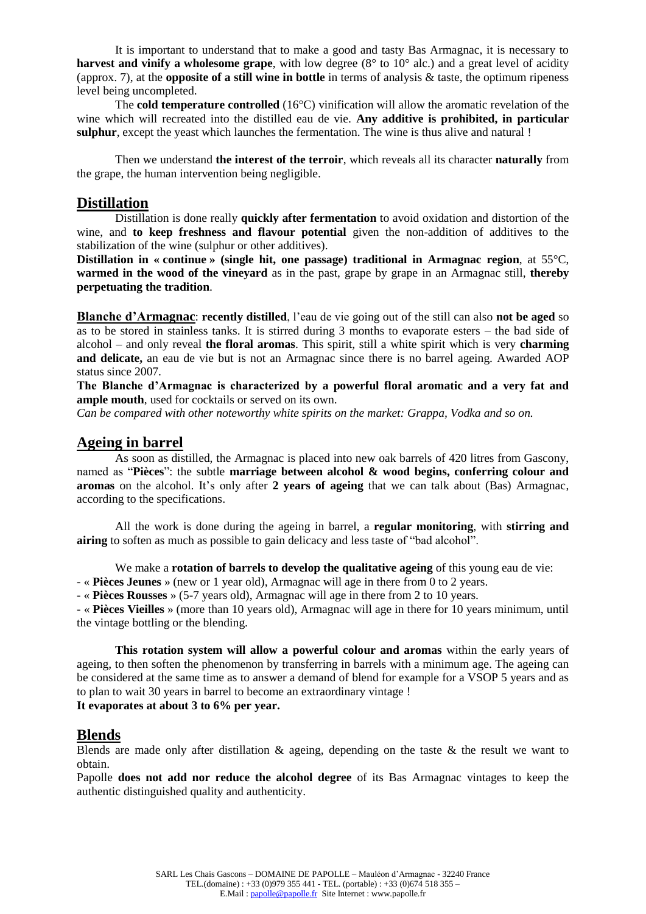It is important to understand that to make a good and tasty Bas Armagnac, it is necessary to **harvest and vinify a wholesome grape**, with low degree (8° to 10° alc.) and a great level of acidity (approx. 7), at the **opposite of a still wine in bottle** in terms of analysis & taste, the optimum ripeness level being uncompleted.

The **cold temperature controlled** (16°C) vinification will allow the aromatic revelation of the wine which will recreated into the distilled eau de vie. **Any additive is prohibited, in particular sulphur**, except the yeast which launches the fermentation. The wine is thus alive and natural !

Then we understand **the interest of the terroir**, which reveals all its character **naturally** from the grape, the human intervention being negligible.

### **Distillation**

Distillation is done really **quickly after fermentation** to avoid oxidation and distortion of the wine, and **to keep freshness and flavour potential** given the non-addition of additives to the stabilization of the wine (sulphur or other additives).

**Distillation in « continue » (single hit, one passage) traditional in Armagnac region**, at 55°C, **warmed in the wood of the vineyard** as in the past, grape by grape in an Armagnac still, **thereby perpetuating the tradition**.

**Blanche d'Armagnac**: **recently distilled**, l'eau de vie going out of the still can also **not be aged** so as to be stored in stainless tanks. It is stirred during 3 months to evaporate esters – the bad side of alcohol – and only reveal **the floral aromas**. This spirit, still a white spirit which is very **charming**  and delicate, an eau de vie but is not an Armagnac since there is no barrel ageing. Awarded AOP status since 2007.

**The Blanche d'Armagnac is characterized by a powerful floral aromatic and a very fat and ample mouth**, used for cocktails or served on its own.

*Can be compared with other noteworthy white spirits on the market: Grappa, Vodka and so on.* 

## **Ageing in barrel**

As soon as distilled, the Armagnac is placed into new oak barrels of 420 litres from Gascony, named as "**Pièces**": the subtle **marriage between alcohol & wood begins, conferring colour and aromas** on the alcohol. It's only after **2 years of ageing** that we can talk about (Bas) Armagnac, according to the specifications.

All the work is done during the ageing in barrel, a **regular monitoring**, with **stirring and airing** to soften as much as possible to gain delicacy and less taste of "bad alcohol".

We make a **rotation of barrels to develop the qualitative ageing** of this young eau de vie:

- « **Pièces Jeunes** » (new or 1 year old), Armagnac will age in there from 0 to 2 years.

- « **Pièces Rousses** » (5-7 years old), Armagnac will age in there from 2 to 10 years.

- « **Pièces Vieilles** » (more than 10 years old), Armagnac will age in there for 10 years minimum, until the vintage bottling or the blending.

**This rotation system will allow a powerful colour and aromas** within the early years of ageing, to then soften the phenomenon by transferring in barrels with a minimum age. The ageing can be considered at the same time as to answer a demand of blend for example for a VSOP 5 years and as to plan to wait 30 years in barrel to become an extraordinary vintage ! **It evaporates at about 3 to 6% per year.**

## **Blends**

Blends are made only after distillation & ageing, depending on the taste & the result we want to obtain.

Papolle **does not add nor reduce the alcohol degree** of its Bas Armagnac vintages to keep the authentic distinguished quality and authenticity.